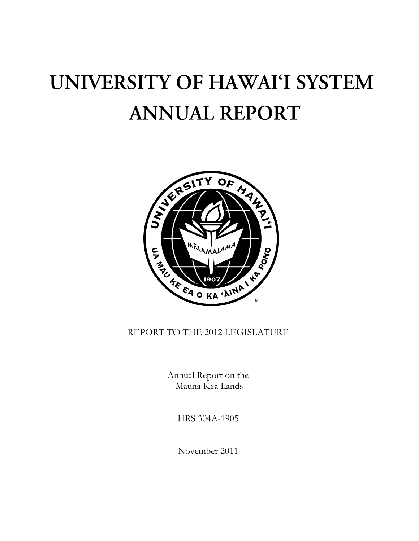# UNIVERSITY OF HAWAI'I SYSTEM **ANNUAL REPORT**



REPORT TO THE 2012 LEGISLATURE

Annual Report on the Mauna Kea Lands

HRS 304A-1905

November 2011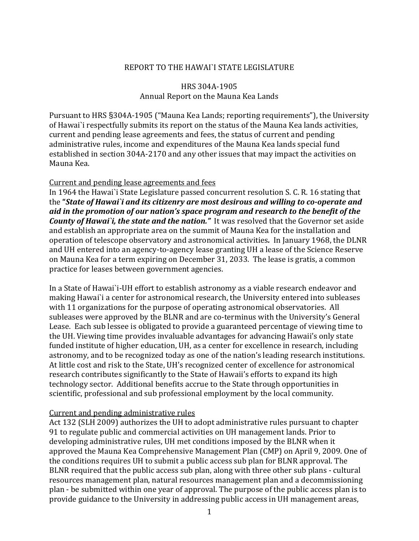### REPORT TO THE HAWAI`I STATE LEGISLATURE

## HRS 304A‐1905 Annual Report on the Mauna Kea Lands

Pursuant to HRS §304A‐1905 ("Mauna Kea Lands; reporting requirements"), the University of Hawai`i respectfully submits its report on the status of the Mauna Kea lands activities, current and pending lease agreements and fees, the status of current and pending administrative rules, income and expenditures of the Mauna Kea lands special fund established in section 304A‐2170 and any other issues that may impact the activities on Mauna Kea.

#### Current and pending lease agreements and fees

In 1964 the Hawai`i State Legislature passed concurrent resolution S. C. R. 16 stating that the **"***State of Hawai`i and its citizenry are most desirous and willing to cooperate and aid in the promotion of our nation's space program and research to the benefit of the County of Hawai`i, the state and the nation."* It was resolved that the Governor set aside and establish an appropriate area on the summit of Mauna Kea for the installation and operation of telescope observatory and astronomical activities*.* In January 1968, the DLNR and UH entered into an agency‐to‐agency lease granting UH a lease of the Science Reserve on Mauna Kea for a term expiring on December 31, 2033. The lease is gratis, a common practice for leases between government agencies.

In a State of Hawai`i-UH effort to establish astronomy as a viable research endeavor and making Hawai`i a center for astronomical research, the University entered into subleases with 11 organizations for the purpose of operating astronomical observatories. All subleases were approved by the BLNR and are co‐terminus with the University's General Lease. Each sub lessee is obligated to provide a guaranteed percentage of viewing time to the UH. Viewing time provides invaluable advantages for advancing Hawaii's only state funded institute of higher education, UH, as a center for excellence in research, including astronomy, and to be recognized today as one of the nation's leading research institutions. At little cost and risk to the State, UH's recognized center of excellence for astronomical research contributes significantly to the State of Hawaii's efforts to expand its high technology sector. Additional benefits accrue to the State through opportunities in scientific, professional and sub professional employment by the local community.

## Current and pending administrative rules

Act 132 (SLH 2009) authorizes the UH to adopt administrative rules pursuant to chapter 91 to regulate public and commercial activities on UH management lands. Prior to developing administrative rules, UH met conditions imposed by the BLNR when it approved the Mauna Kea Comprehensive Management Plan (CMP) on April 9, 2009. One of the conditions requires UH to submit a public access sub plan for BLNR approval. The BLNR required that the public access sub plan, along with three other sub plans ‐ cultural resources management plan, natural resources management plan and a decommissioning plan ‐ be submitted within one year of approval. The purpose of the public access plan is to provide guidance to the University in addressing public access in UH management areas,